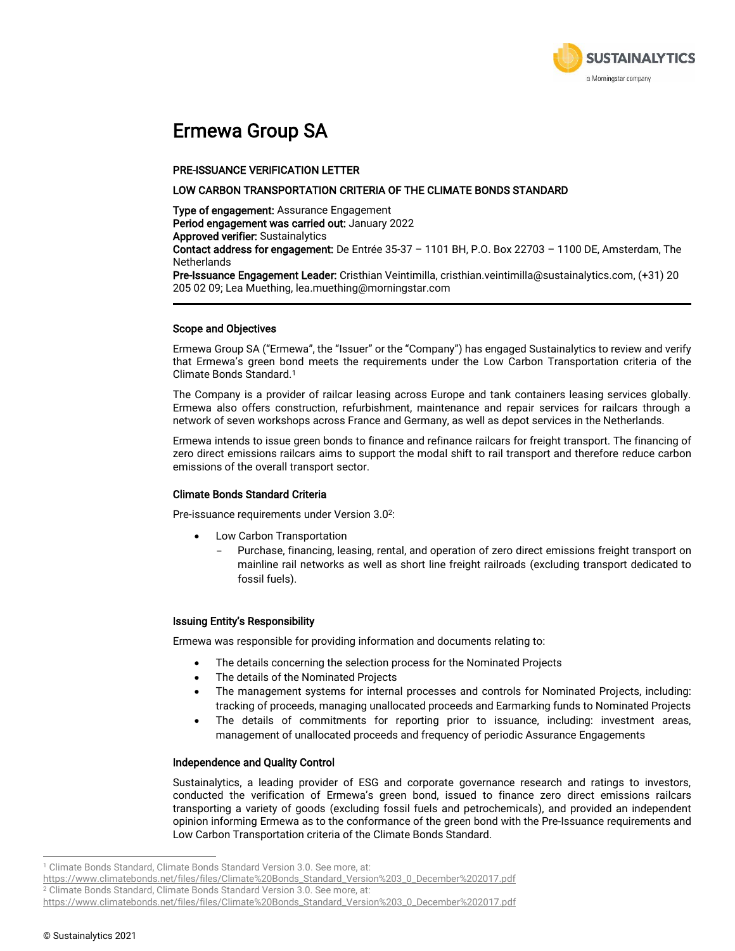

### Ermewa Group SA

#### PRE-ISSUANCE VERIFICATION LETTER

#### LOW CARBON TRANSPORTATION CRITERIA OF THE CLIMATE BONDS STANDARD

Type of engagement: Assurance Engagement Period engagement was carried out: January 2022 Approved verifier: Sustainalytics

Contact address for engagement: De Entrée 35-37 – 1101 BH, P.O. Box 22703 – 1100 DE, Amsterdam, The **Netherlands** 

Pre-Issuance Engagement Leader: Cristhian Veintimilla, cristhian.veintimilla@sustainalytics.com, (+31) 20 205 02 09; Lea Muething, lea.muething@morningstar.com

#### Scope and Objectives

Ermewa Group SA ("Ermewa", the "Issuer" or the "Company") has engaged Sustainalytics to review and verify that Ermewa's green bond meets the requirements under the Low Carbon Transportation criteria of the Climate Bonds Standard. 1

The Company is a provider of railcar leasing across Europe and tank containers leasing services globally. Ermewa also offers construction, refurbishment, maintenance and repair services for railcars through a network of seven workshops across France and Germany, as well as depot services in the Netherlands.

Ermewa intends to issue green bonds to finance and refinance railcars for freight transport. The financing of zero direct emissions railcars aims to support the modal shift to rail transport and therefore reduce carbon emissions of the overall transport sector.

#### Climate Bonds Standard Criteria

Pre-issuance requirements under Version 3.0<sup>2</sup>:

- Low Carbon Transportation
	- Purchase, financing, leasing, rental, and operation of zero direct emissions freight transport on mainline rail networks as well as short line freight railroads (excluding transport dedicated to fossil fuels).

#### Issuing Entity's Responsibility

Ermewa was responsible for providing information and documents relating to:

- The details concerning the selection process for the Nominated Projects
- The details of the Nominated Projects
- The management systems for internal processes and controls for Nominated Projects, including: tracking of proceeds, managing unallocated proceeds and Earmarking funds to Nominated Projects
- The details of commitments for reporting prior to issuance, including: investment areas, management of unallocated proceeds and frequency of periodic Assurance Engagements

#### Independence and Quality Control

Sustainalytics, a leading provider of ESG and corporate governance research and ratings to investors, conducted the verification of Ermewa's green bond, issued to finance zero direct emissions railcars transporting a variety of goods (excluding fossil fuels and petrochemicals), and provided an independent opinion informing Ermewa as to the conformance of the green bond with the Pre-Issuance requirements and Low Carbon Transportation criteria of the Climate Bonds Standard.

<sup>&</sup>lt;sup>1</sup> Climate Bonds Standard, Climate Bonds Standard Version 3.0. See more, at:

[https://www.climatebonds.net/files/files/Climate%20Bonds\\_Standard\\_Version%203\\_0\\_December%202017.pdf](https://www.climatebonds.net/files/files/Climate%20Bonds_Standard_Version%203_0_December%202017.pdf)

<sup>&</sup>lt;sup>2</sup> Climate Bonds Standard, Climate Bonds Standard Version 3.0. See more, at:

[https://www.climatebonds.net/files/files/Climate%20Bonds\\_Standard\\_Version%203\\_0\\_December%202017.pdf](https://www.climatebonds.net/files/files/Climate%20Bonds_Standard_Version%203_0_December%202017.pdf)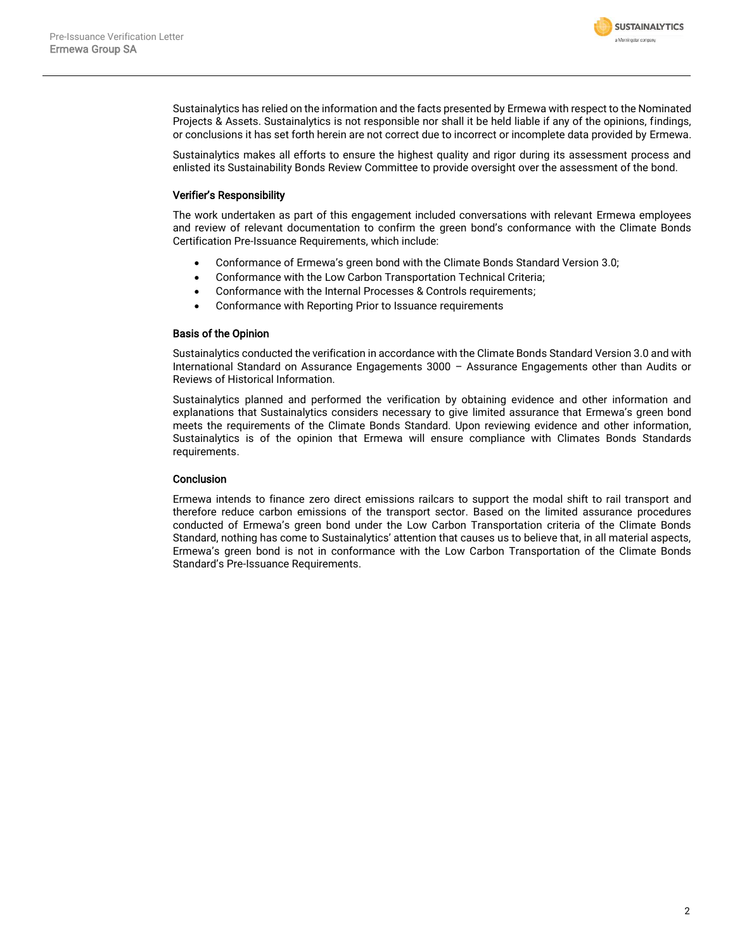

Sustainalytics has relied on the information and the facts presented by Ermewa with respect to the Nominated Projects & Assets. Sustainalytics is not responsible nor shall it be held liable if any of the opinions, findings, or conclusions it has set forth herein are not correct due to incorrect or incomplete data provided by Ermewa.

Sustainalytics makes all efforts to ensure the highest quality and rigor during its assessment process and enlisted its Sustainability Bonds Review Committee to provide oversight over the assessment of the bond.

#### Verifier's Responsibility

The work undertaken as part of this engagement included conversations with relevant Ermewa employees and review of relevant documentation to confirm the green bond's conformance with the Climate Bonds Certification Pre-Issuance Requirements, which include:

- Conformance of Ermewa's green bond with the Climate Bonds Standard Version 3.0;
- Conformance with the Low Carbon Transportation Technical Criteria;
- Conformance with the Internal Processes & Controls requirements;
- Conformance with Reporting Prior to Issuance requirements

#### Basis of the Opinion

Sustainalytics conducted the verification in accordance with the Climate Bonds Standard Version 3.0 and with International Standard on Assurance Engagements 3000 – Assurance Engagements other than Audits or Reviews of Historical Information.

Sustainalytics planned and performed the verification by obtaining evidence and other information and explanations that Sustainalytics considers necessary to give limited assurance that Ermewa's green bond meets the requirements of the Climate Bonds Standard. Upon reviewing evidence and other information, Sustainalytics is of the opinion that Ermewa will ensure compliance with Climates Bonds Standards requirements.

#### **Conclusion**

Ermewa intends to finance zero direct emissions railcars to support the modal shift to rail transport and therefore reduce carbon emissions of the transport sector. Based on the limited assurance procedures conducted of Ermewa's green bond under the Low Carbon Transportation criteria of the Climate Bonds Standard, nothing has come to Sustainalytics' attention that causes us to believe that, in all material aspects, Ermewa's green bond is not in conformance with the Low Carbon Transportation of the Climate Bonds Standard's Pre-Issuance Requirements.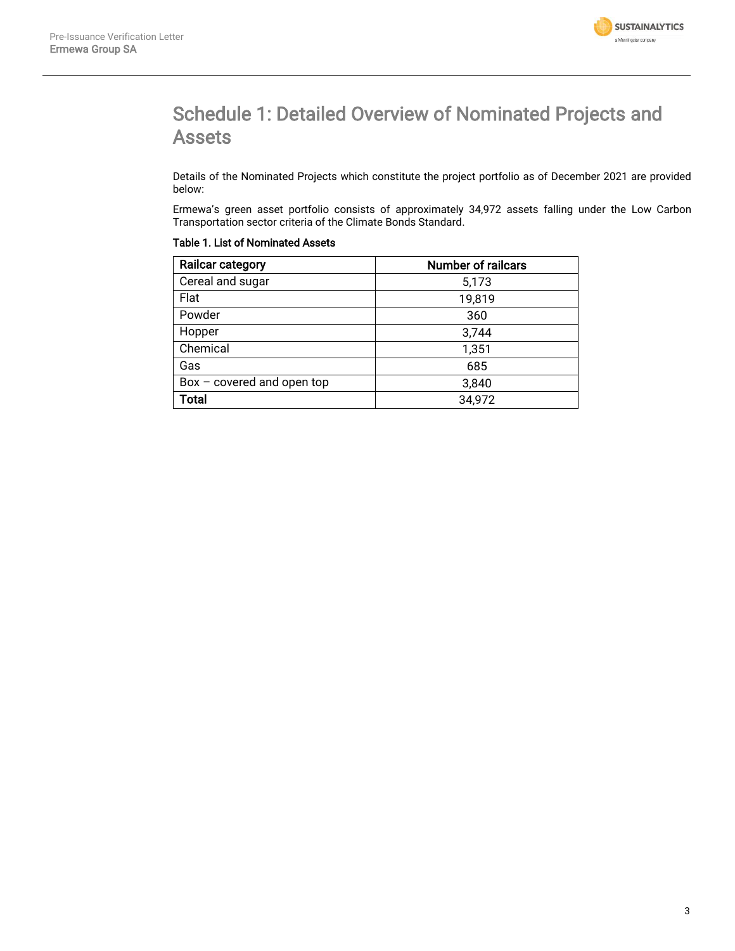

## Schedule 1: Detailed Overview of Nominated Projects and Assets

Details of the Nominated Projects which constitute the project portfolio as of December 2021 are provided below:

Ermewa's green asset portfolio consists of approximately 34,972 assets falling under the Low Carbon Transportation sector criteria of the Climate Bonds Standard.

| <b>Railcar category</b>      | <b>Number of railcars</b> |
|------------------------------|---------------------------|
| Cereal and sugar             | 5,173                     |
| Flat                         | 19,819                    |
| Powder                       | 360                       |
| Hopper                       | 3,744                     |
| Chemical                     | 1,351                     |
| Gas                          | 685                       |
| $Box - covered$ and open top | 3,840                     |
| <b>Total</b>                 | 34,972                    |

#### Table 1. List of Nominated Assets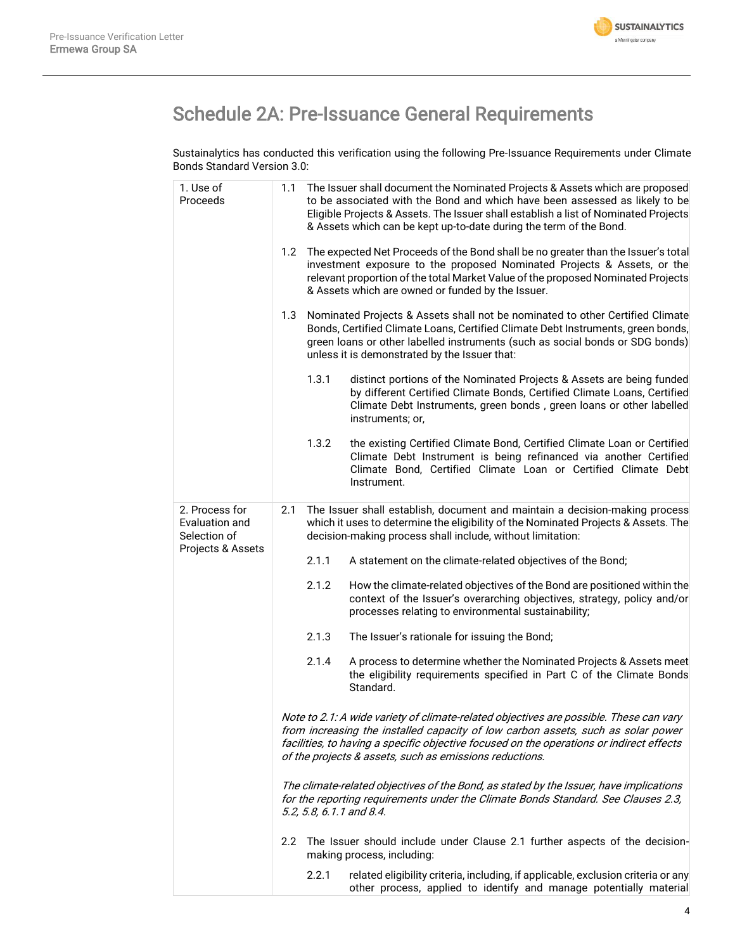

# Schedule 2A: Pre-Issuance General Requirements

Sustainalytics has conducted this verification using the following Pre-Issuance Requirements under Climate Bonds Standard Version 3.0:

| 1. Use of<br>Proceeds                            | The Issuer shall document the Nominated Projects & Assets which are proposed<br>1.1<br>to be associated with the Bond and which have been assessed as likely to be<br>Eligible Projects & Assets. The Issuer shall establish a list of Nominated Projects<br>& Assets which can be kept up-to-date during the term of the Bond.   |
|--------------------------------------------------|-----------------------------------------------------------------------------------------------------------------------------------------------------------------------------------------------------------------------------------------------------------------------------------------------------------------------------------|
|                                                  | The expected Net Proceeds of the Bond shall be no greater than the Issuer's total<br>1.2<br>investment exposure to the proposed Nominated Projects & Assets, or the<br>relevant proportion of the total Market Value of the proposed Nominated Projects<br>& Assets which are owned or funded by the Issuer.                      |
|                                                  | 1.3<br>Nominated Projects & Assets shall not be nominated to other Certified Climate<br>Bonds, Certified Climate Loans, Certified Climate Debt Instruments, green bonds,<br>green loans or other labelled instruments (such as social bonds or SDG bonds)<br>unless it is demonstrated by the Issuer that:                        |
|                                                  | 1.3.1<br>distinct portions of the Nominated Projects & Assets are being funded<br>by different Certified Climate Bonds, Certified Climate Loans, Certified<br>Climate Debt Instruments, green bonds, green loans or other labelled<br>instruments; or,                                                                            |
|                                                  | 1.3.2<br>the existing Certified Climate Bond, Certified Climate Loan or Certified<br>Climate Debt Instrument is being refinanced via another Certified<br>Climate Bond, Certified Climate Loan or Certified Climate Debt<br>Instrument.                                                                                           |
| 2. Process for<br>Evaluation and<br>Selection of | The Issuer shall establish, document and maintain a decision-making process<br>2.1<br>which it uses to determine the eligibility of the Nominated Projects & Assets. The<br>decision-making process shall include, without limitation:                                                                                            |
| Projects & Assets                                | 2.1.1<br>A statement on the climate-related objectives of the Bond;                                                                                                                                                                                                                                                               |
|                                                  | 2.1.2<br>How the climate-related objectives of the Bond are positioned within the<br>context of the Issuer's overarching objectives, strategy, policy and/or<br>processes relating to environmental sustainability;                                                                                                               |
|                                                  | 2.1.3<br>The Issuer's rationale for issuing the Bond;                                                                                                                                                                                                                                                                             |
|                                                  | 2.1.4<br>A process to determine whether the Nominated Projects & Assets meet<br>the eligibility requirements specified in Part C of the Climate Bonds<br>Standard.                                                                                                                                                                |
|                                                  | Note to 2.1: A wide variety of climate-related objectives are possible. These can vary<br>from increasing the installed capacity of low carbon assets, such as solar power<br>facilities, to having a specific objective focused on the operations or indirect effects<br>of the projects & assets, such as emissions reductions. |
|                                                  | The climate-related objectives of the Bond, as stated by the Issuer, have implications<br>for the reporting requirements under the Climate Bonds Standard. See Clauses 2.3,<br>5.2, 5.8, 6.1.1 and 8.4.                                                                                                                           |
|                                                  | 2.2<br>The Issuer should include under Clause 2.1 further aspects of the decision-<br>making process, including:                                                                                                                                                                                                                  |
|                                                  | 2.2.1<br>related eligibility criteria, including, if applicable, exclusion criteria or any<br>other process, applied to identify and manage potentially material                                                                                                                                                                  |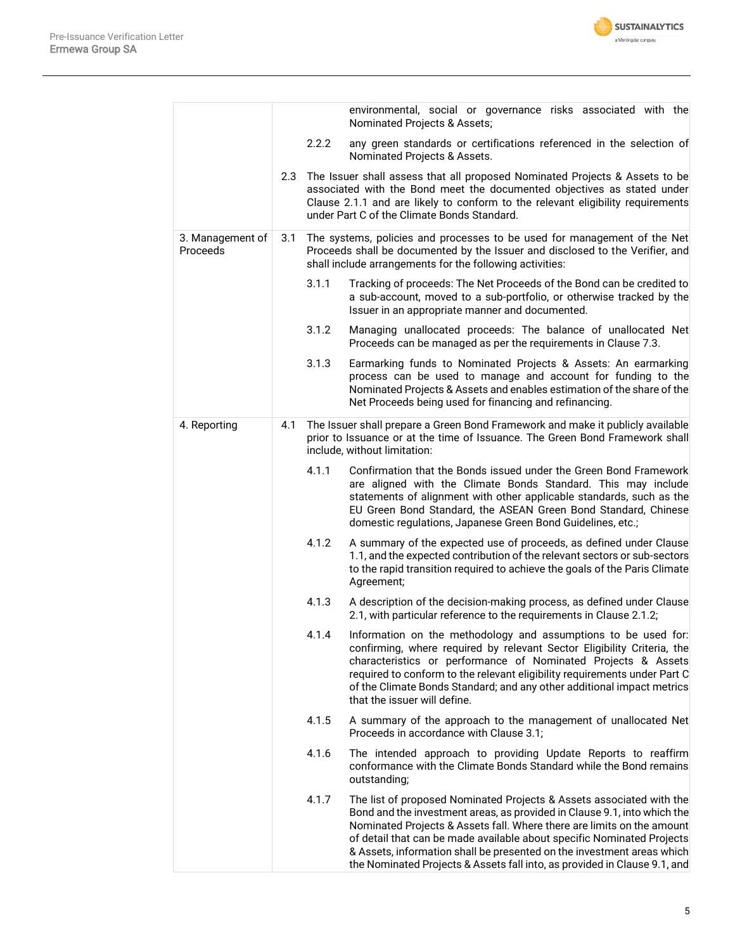

|                              |     |       | environmental, social or governance risks associated with the<br>Nominated Projects & Assets;                                                                                                                                                                                                                                                                                                                                                               |
|------------------------------|-----|-------|-------------------------------------------------------------------------------------------------------------------------------------------------------------------------------------------------------------------------------------------------------------------------------------------------------------------------------------------------------------------------------------------------------------------------------------------------------------|
|                              |     | 2.2.2 | any green standards or certifications referenced in the selection of<br>Nominated Projects & Assets.                                                                                                                                                                                                                                                                                                                                                        |
|                              | 2.3 |       | The Issuer shall assess that all proposed Nominated Projects & Assets to be<br>associated with the Bond meet the documented objectives as stated under<br>Clause 2.1.1 and are likely to conform to the relevant eligibility requirements<br>under Part C of the Climate Bonds Standard.                                                                                                                                                                    |
| 3. Management of<br>Proceeds | 3.1 |       | The systems, policies and processes to be used for management of the Net<br>Proceeds shall be documented by the Issuer and disclosed to the Verifier, and<br>shall include arrangements for the following activities:                                                                                                                                                                                                                                       |
|                              |     | 3.1.1 | Tracking of proceeds: The Net Proceeds of the Bond can be credited to<br>a sub-account, moved to a sub-portfolio, or otherwise tracked by the<br>Issuer in an appropriate manner and documented.                                                                                                                                                                                                                                                            |
|                              |     | 3.1.2 | Managing unallocated proceeds: The balance of unallocated Net<br>Proceeds can be managed as per the requirements in Clause 7.3.                                                                                                                                                                                                                                                                                                                             |
|                              |     | 3.1.3 | Earmarking funds to Nominated Projects & Assets: An earmarking<br>process can be used to manage and account for funding to the<br>Nominated Projects & Assets and enables estimation of the share of the<br>Net Proceeds being used for financing and refinancing.                                                                                                                                                                                          |
| 4. Reporting                 | 4.1 |       | The Issuer shall prepare a Green Bond Framework and make it publicly available<br>prior to Issuance or at the time of Issuance. The Green Bond Framework shall<br>include, without limitation:                                                                                                                                                                                                                                                              |
|                              |     | 4.1.1 | Confirmation that the Bonds issued under the Green Bond Framework<br>are aligned with the Climate Bonds Standard. This may include<br>statements of alignment with other applicable standards, such as the<br>EU Green Bond Standard, the ASEAN Green Bond Standard, Chinese<br>domestic regulations, Japanese Green Bond Guidelines, etc.;                                                                                                                 |
|                              |     | 4.1.2 | A summary of the expected use of proceeds, as defined under Clause<br>1.1, and the expected contribution of the relevant sectors or sub-sectors<br>to the rapid transition required to achieve the goals of the Paris Climate<br>Agreement;                                                                                                                                                                                                                 |
|                              |     | 4.1.3 | A description of the decision-making process, as defined under Clause<br>2.1, with particular reference to the requirements in Clause 2.1.2;                                                                                                                                                                                                                                                                                                                |
|                              |     | 4.1.4 | Information on the methodology and assumptions to be used for:<br>confirming, where required by relevant Sector Eligibility Criteria, the<br>characteristics or performance of Nominated Projects & Assets<br>required to conform to the relevant eligibility requirements under Part C<br>of the Climate Bonds Standard; and any other additional impact metrics<br>that the issuer will define.                                                           |
|                              |     | 4.1.5 | A summary of the approach to the management of unallocated Net<br>Proceeds in accordance with Clause 3.1;                                                                                                                                                                                                                                                                                                                                                   |
|                              |     | 4.1.6 | The intended approach to providing Update Reports to reaffirm<br>conformance with the Climate Bonds Standard while the Bond remains<br>outstanding;                                                                                                                                                                                                                                                                                                         |
|                              |     | 4.1.7 | The list of proposed Nominated Projects & Assets associated with the<br>Bond and the investment areas, as provided in Clause 9.1, into which the<br>Nominated Projects & Assets fall. Where there are limits on the amount<br>of detail that can be made available about specific Nominated Projects<br>& Assets, information shall be presented on the investment areas which<br>the Nominated Projects & Assets fall into, as provided in Clause 9.1, and |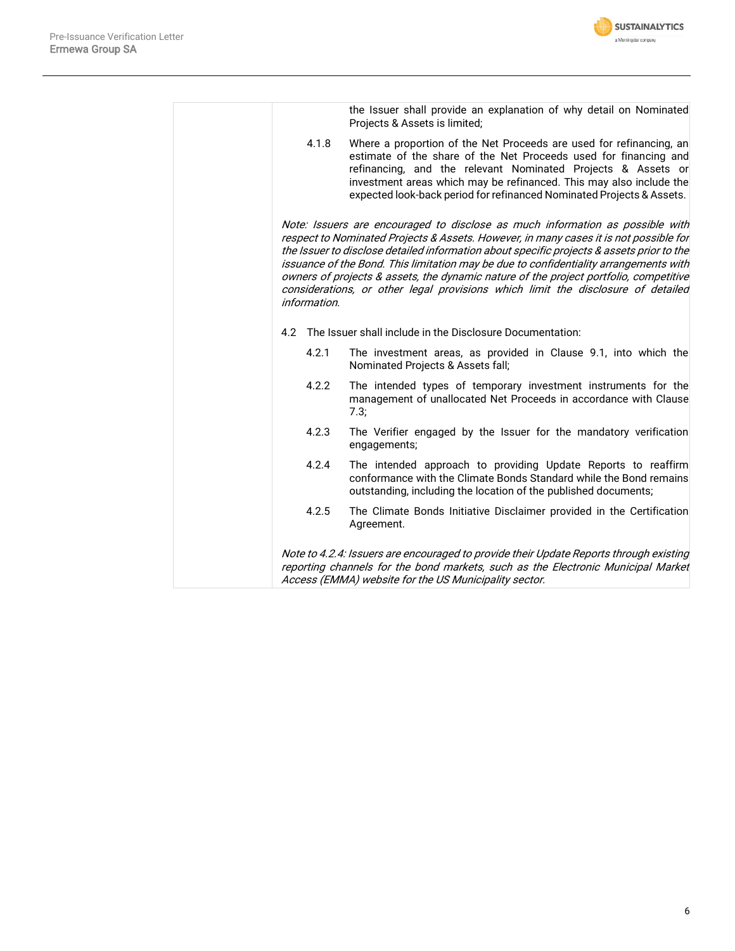

|              | the Issuer shall provide an explanation of why detail on Nominated<br>Projects & Assets is limited;                                                                                                                                                                                                                                                                                                                                                                                                                                       |
|--------------|-------------------------------------------------------------------------------------------------------------------------------------------------------------------------------------------------------------------------------------------------------------------------------------------------------------------------------------------------------------------------------------------------------------------------------------------------------------------------------------------------------------------------------------------|
| 4.1.8        | Where a proportion of the Net Proceeds are used for refinancing, an<br>estimate of the share of the Net Proceeds used for financing and<br>refinancing, and the relevant Nominated Projects & Assets or<br>investment areas which may be refinanced. This may also include the<br>expected look-back period for refinanced Nominated Projects & Assets.                                                                                                                                                                                   |
| information. | Note: Issuers are encouraged to disclose as much information as possible with<br>respect to Nominated Projects & Assets. However, in many cases it is not possible for<br>the Issuer to disclose detailed information about specific projects & assets prior to the<br>issuance of the Bond. This limitation may be due to confidentiality arrangements with<br>owners of projects & assets, the dynamic nature of the project portfolio, competitive<br>considerations, or other legal provisions which limit the disclosure of detailed |
| 4.2          | The Issuer shall include in the Disclosure Documentation:                                                                                                                                                                                                                                                                                                                                                                                                                                                                                 |
| 4.2.1        | The investment areas, as provided in Clause 9.1, into which the<br>Nominated Projects & Assets fall;                                                                                                                                                                                                                                                                                                                                                                                                                                      |
| 4.2.2        | The intended types of temporary investment instruments for the<br>management of unallocated Net Proceeds in accordance with Clause<br>7.3;                                                                                                                                                                                                                                                                                                                                                                                                |
| 4.2.3        | The Verifier engaged by the Issuer for the mandatory verification<br>engagements;                                                                                                                                                                                                                                                                                                                                                                                                                                                         |
| 4.2.4        | The intended approach to providing Update Reports to reaffirm<br>conformance with the Climate Bonds Standard while the Bond remains<br>outstanding, including the location of the published documents;                                                                                                                                                                                                                                                                                                                                    |
| 4.2.5        | The Climate Bonds Initiative Disclaimer provided in the Certification<br>Agreement.                                                                                                                                                                                                                                                                                                                                                                                                                                                       |
|              | Note to 4.2.4: Issuers are encouraged to provide their Update Reports through existing<br>reporting channels for the bond markets, such as the Electronic Municipal Market<br>Access (EMMA) website for the US Municipality sector.                                                                                                                                                                                                                                                                                                       |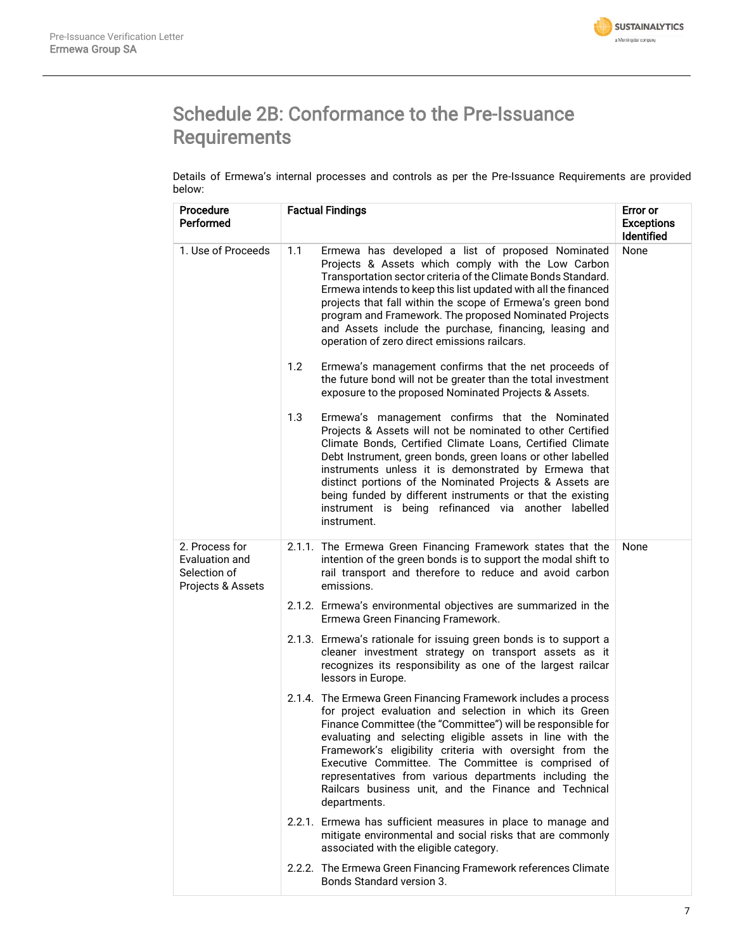

# Schedule 2B: Conformance to the Pre-Issuance Requirements

Details of Ermewa's internal processes and controls as per the Pre-Issuance Requirements are provided below:

| Procedure<br>Performed                                                | <b>Factual Findings</b>                                                                                                                                                                                                                                                                                                                                                                                                                                                                                    | <b>Error</b> or<br><b>Exceptions</b><br><b>Identified</b> |
|-----------------------------------------------------------------------|------------------------------------------------------------------------------------------------------------------------------------------------------------------------------------------------------------------------------------------------------------------------------------------------------------------------------------------------------------------------------------------------------------------------------------------------------------------------------------------------------------|-----------------------------------------------------------|
| 1. Use of Proceeds                                                    | 1.1<br>Ermewa has developed a list of proposed Nominated<br>Projects & Assets which comply with the Low Carbon<br>Transportation sector criteria of the Climate Bonds Standard.<br>Ermewa intends to keep this list updated with all the financed<br>projects that fall within the scope of Ermewa's green bond<br>program and Framework. The proposed Nominated Projects<br>and Assets include the purchase, financing, leasing and<br>operation of zero direct emissions railcars.                       | None                                                      |
|                                                                       | Ermewa's management confirms that the net proceeds of<br>1.2<br>the future bond will not be greater than the total investment<br>exposure to the proposed Nominated Projects & Assets.                                                                                                                                                                                                                                                                                                                     |                                                           |
|                                                                       | 1.3<br>Ermewa's management confirms that the Nominated<br>Projects & Assets will not be nominated to other Certified<br>Climate Bonds, Certified Climate Loans, Certified Climate<br>Debt Instrument, green bonds, green loans or other labelled<br>instruments unless it is demonstrated by Ermewa that<br>distinct portions of the Nominated Projects & Assets are<br>being funded by different instruments or that the existing<br>instrument is being refinanced via another labelled<br>instrument.   |                                                           |
| 2. Process for<br>Evaluation and<br>Selection of<br>Projects & Assets | 2.1.1. The Ermewa Green Financing Framework states that the<br>intention of the green bonds is to support the modal shift to<br>rail transport and therefore to reduce and avoid carbon<br>emissions.                                                                                                                                                                                                                                                                                                      | None                                                      |
|                                                                       | 2.1.2. Ermewa's environmental objectives are summarized in the<br>Ermewa Green Financing Framework.                                                                                                                                                                                                                                                                                                                                                                                                        |                                                           |
|                                                                       | 2.1.3. Ermewa's rationale for issuing green bonds is to support a<br>cleaner investment strategy on transport assets as it<br>recognizes its responsibility as one of the largest railcar<br>lessors in Europe.                                                                                                                                                                                                                                                                                            |                                                           |
|                                                                       | 2.1.4. The Ermewa Green Financing Framework includes a process<br>for project evaluation and selection in which its Green<br>Finance Committee (the "Committee") will be responsible for<br>evaluating and selecting eligible assets in line with the<br>Framework's eligibility criteria with oversight from the<br>Executive Committee. The Committee is comprised of<br>representatives from various departments including the<br>Railcars business unit, and the Finance and Technical<br>departments. |                                                           |
|                                                                       | 2.2.1. Ermewa has sufficient measures in place to manage and<br>mitigate environmental and social risks that are commonly<br>associated with the eligible category.                                                                                                                                                                                                                                                                                                                                        |                                                           |
|                                                                       | 2.2.2. The Ermewa Green Financing Framework references Climate<br><b>Bonds Standard version 3.</b>                                                                                                                                                                                                                                                                                                                                                                                                         |                                                           |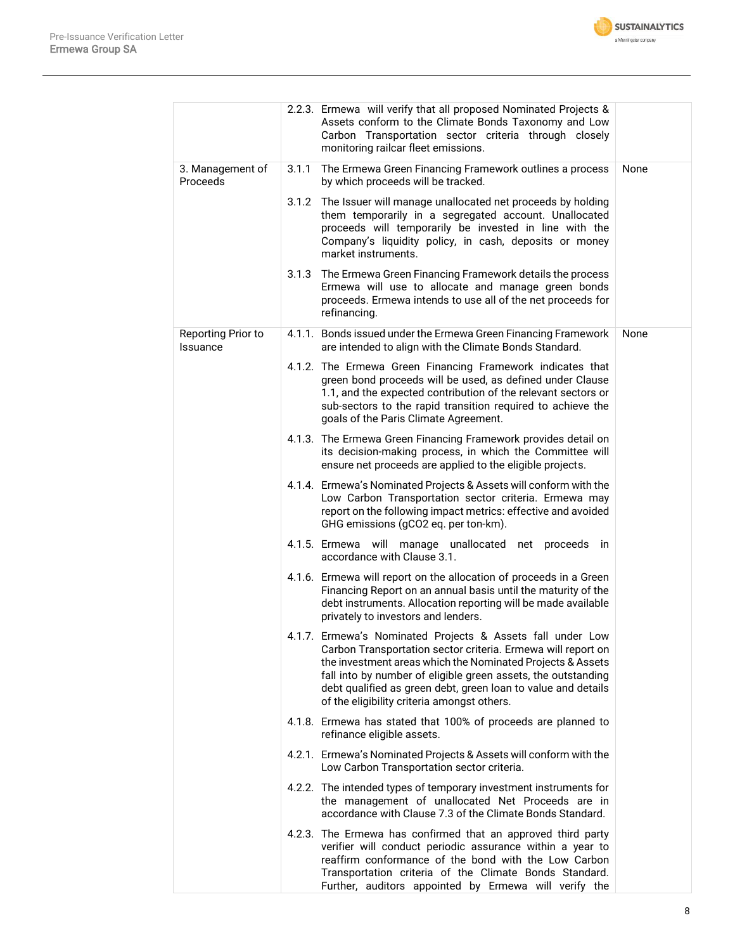

|                                       | 2.2.3. Ermewa will verify that all proposed Nominated Projects &<br>Assets conform to the Climate Bonds Taxonomy and Low<br>Carbon Transportation sector criteria through closely<br>monitoring railcar fleet emissions.                                                                                                                                                  |      |
|---------------------------------------|---------------------------------------------------------------------------------------------------------------------------------------------------------------------------------------------------------------------------------------------------------------------------------------------------------------------------------------------------------------------------|------|
| 3. Management of<br>Proceeds          | The Ermewa Green Financing Framework outlines a process<br>3.1.1<br>by which proceeds will be tracked.                                                                                                                                                                                                                                                                    | None |
|                                       | 3.1.2 The Issuer will manage unallocated net proceeds by holding<br>them temporarily in a segregated account. Unallocated<br>proceeds will temporarily be invested in line with the<br>Company's liquidity policy, in cash, deposits or money<br>market instruments.                                                                                                      |      |
|                                       | 3.1.3 The Ermewa Green Financing Framework details the process<br>Ermewa will use to allocate and manage green bonds<br>proceeds. Ermewa intends to use all of the net proceeds for<br>refinancing.                                                                                                                                                                       |      |
| Reporting Prior to<br><b>Issuance</b> | 4.1.1. Bonds issued under the Ermewa Green Financing Framework<br>are intended to align with the Climate Bonds Standard.                                                                                                                                                                                                                                                  | None |
|                                       | 4.1.2. The Ermewa Green Financing Framework indicates that<br>green bond proceeds will be used, as defined under Clause<br>1.1, and the expected contribution of the relevant sectors or<br>sub-sectors to the rapid transition required to achieve the<br>goals of the Paris Climate Agreement.                                                                          |      |
|                                       | 4.1.3. The Ermewa Green Financing Framework provides detail on<br>its decision-making process, in which the Committee will<br>ensure net proceeds are applied to the eligible projects.                                                                                                                                                                                   |      |
|                                       | 4.1.4. Ermewa's Nominated Projects & Assets will conform with the<br>Low Carbon Transportation sector criteria. Ermewa may<br>report on the following impact metrics: effective and avoided<br>GHG emissions (gCO2 eq. per ton-km).                                                                                                                                       |      |
|                                       | 4.1.5. Ermewa will manage unallocated net proceeds in<br>accordance with Clause 3.1.                                                                                                                                                                                                                                                                                      |      |
|                                       | 4.1.6. Ermewa will report on the allocation of proceeds in a Green<br>Financing Report on an annual basis until the maturity of the<br>debt instruments. Allocation reporting will be made available<br>privately to investors and lenders.                                                                                                                               |      |
|                                       | 4.1.7. Ermewa's Nominated Projects & Assets fall under Low<br>Carbon Transportation sector criteria. Ermewa will report on<br>the investment areas which the Nominated Projects & Assets<br>fall into by number of eligible green assets, the outstanding<br>debt qualified as green debt, green loan to value and details<br>of the eligibility criteria amongst others. |      |
|                                       | 4.1.8. Ermewa has stated that 100% of proceeds are planned to<br>refinance eligible assets.                                                                                                                                                                                                                                                                               |      |
|                                       | 4.2.1. Ermewa's Nominated Projects & Assets will conform with the<br>Low Carbon Transportation sector criteria.                                                                                                                                                                                                                                                           |      |
|                                       | 4.2.2. The intended types of temporary investment instruments for<br>the management of unallocated Net Proceeds are in<br>accordance with Clause 7.3 of the Climate Bonds Standard.                                                                                                                                                                                       |      |
|                                       | 4.2.3. The Ermewa has confirmed that an approved third party<br>verifier will conduct periodic assurance within a year to<br>reaffirm conformance of the bond with the Low Carbon<br>Transportation criteria of the Climate Bonds Standard.<br>Further, auditors appointed by Ermewa will verify the                                                                      |      |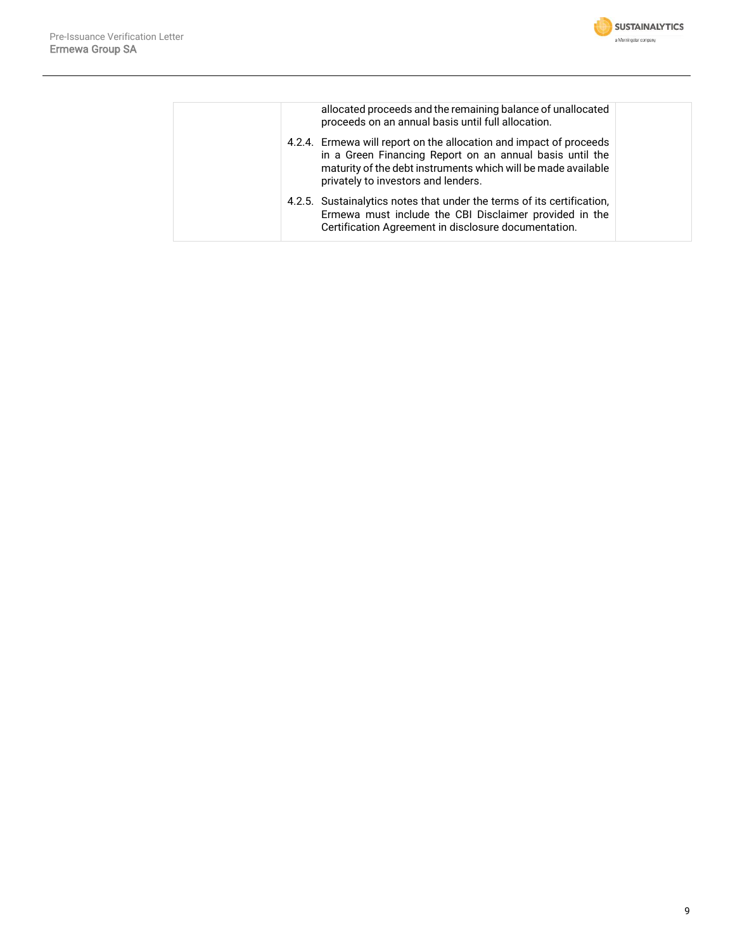

|  | allocated proceeds and the remaining balance of unallocated<br>proceeds on an annual basis until full allocation.                                                                                                                      |  |
|--|----------------------------------------------------------------------------------------------------------------------------------------------------------------------------------------------------------------------------------------|--|
|  | 4.2.4. Ermewa will report on the allocation and impact of proceeds<br>in a Green Financing Report on an annual basis until the<br>maturity of the debt instruments which will be made available<br>privately to investors and lenders. |  |
|  | 4.2.5. Sustainalytics notes that under the terms of its certification,<br>Ermewa must include the CBI Disclaimer provided in the<br>Certification Agreement in disclosure documentation.                                               |  |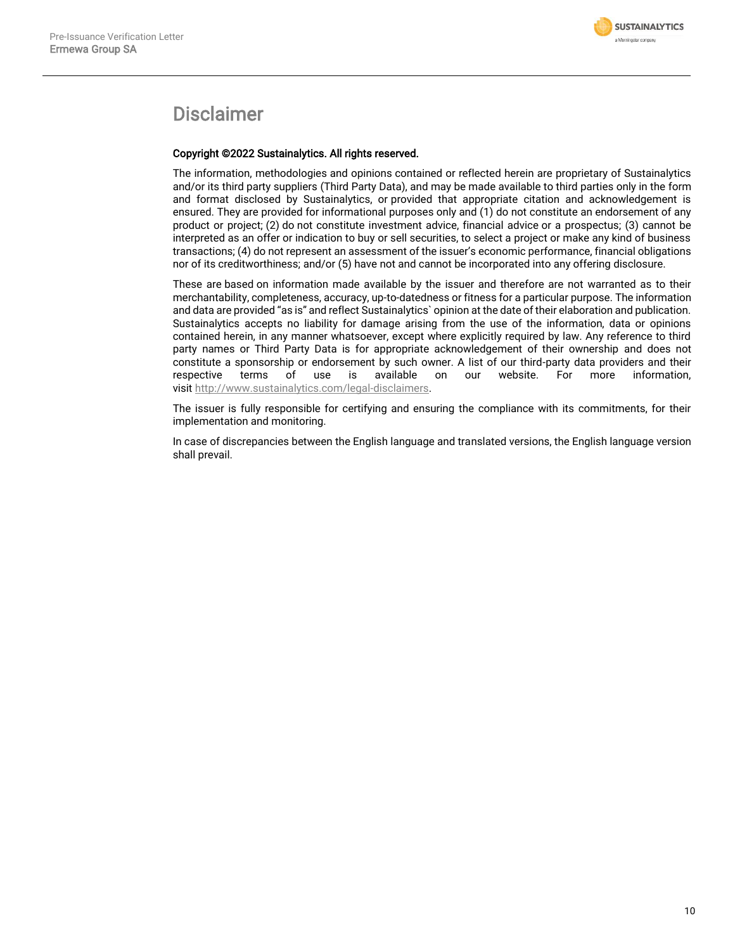

### Disclaimer

#### Copyright ©2022 Sustainalytics. All rights reserved.

The information, methodologies and opinions contained or reflected herein are proprietary of Sustainalytics and/or its third party suppliers (Third Party Data), and may be made available to third parties only in the form and format disclosed by Sustainalytics, or provided that appropriate citation and acknowledgement is ensured. They are provided for informational purposes only and (1) do not constitute an endorsement of any product or project; (2) do not constitute investment advice, financial advice or a prospectus; (3) cannot be interpreted as an offer or indication to buy or sell securities, to select a project or make any kind of business transactions; (4) do not represent an assessment of the issuer's economic performance, financial obligations nor of its creditworthiness; and/or (5) have not and cannot be incorporated into any offering disclosure.

These are based on information made available by the issuer and therefore are not warranted as to their merchantability, completeness, accuracy, up-to-datedness or fitness for a particular purpose. The information and data are provided "as is" and reflect Sustainalytics` opinion at the date of their elaboration and publication. Sustainalytics accepts no liability for damage arising from the use of the information, data or opinions contained herein, in any manner whatsoever, except where explicitly required by law. Any reference to third party names or Third Party Data is for appropriate acknowledgement of their ownership and does not constitute a sponsorship or endorsement by such owner. A list of our third-party data providers and their<br>respective terms of use is available on our website. For more information. respective terms of use is available on our website. For more information, visit [http://www.sustainalytics.com/legal-disclaimers.](http://www.sustainalytics.com/legal-disclaimers)

The issuer is fully responsible for certifying and ensuring the compliance with its commitments, for their implementation and monitoring.

In case of discrepancies between the English language and translated versions, the English language version shall prevail.